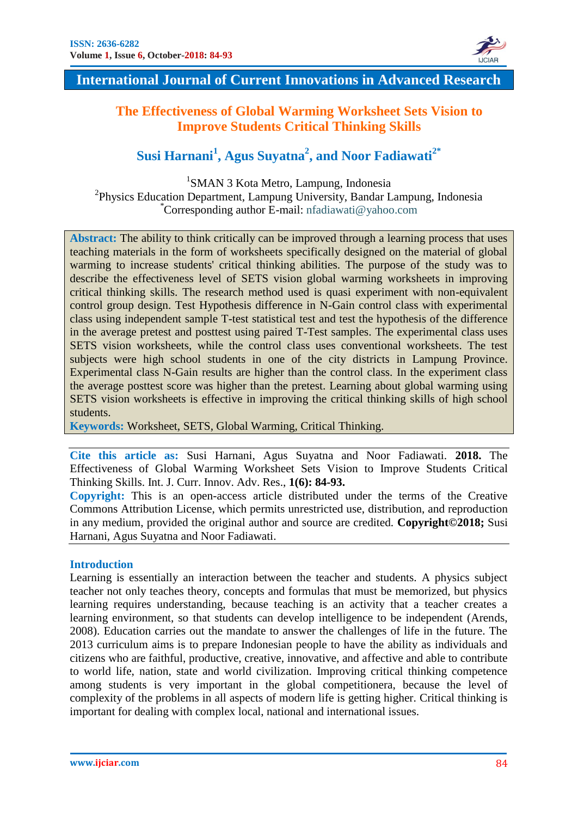

# **The Effectiveness of Global Warming Worksheet Sets Vision to Improve Students Critical Thinking Skills**

# **Susi Harnani<sup>1</sup> , Agus Suyatna<sup>2</sup> , and Noor Fadiawati2\***

1 SMAN 3 Kota Metro, Lampung, Indonesia <sup>2</sup>Physics Education Department, Lampung University, Bandar Lampung, Indonesia *\**Corresponding author E-mail: nfadiawati@yahoo.com

**Abstract:** The ability to think critically can be improved through a learning process that uses teaching materials in the form of worksheets specifically designed on the material of global warming to increase students' critical thinking abilities. The purpose of the study was to describe the effectiveness level of SETS vision global warming worksheets in improving critical thinking skills. The research method used is quasi experiment with non-equivalent control group design. Test Hypothesis difference in N-Gain control class with experimental class using independent sample T-test statistical test and test the hypothesis of the difference in the average pretest and posttest using paired T-Test samples. The experimental class uses SETS vision worksheets, while the control class uses conventional worksheets. The test subjects were high school students in one of the city districts in Lampung Province. Experimental class N-Gain results are higher than the control class. In the experiment class the average posttest score was higher than the pretest. Learning about global warming using SETS vision worksheets is effective in improving the critical thinking skills of high school students.

**Keywords:** Worksheet, SETS, Global Warming, Critical Thinking.

**Cite this article as:** Susi Harnani, Agus Suyatna and Noor Fadiawati. **2018.** The Effectiveness of Global Warming Worksheet Sets Vision to Improve Students Critical Thinking Skills. Int. J. Curr. Innov. Adv. Res., **1(6): 84-93.** 

**Copyright:** This is an open-access article distributed under the terms of the Creative Commons Attribution License, which permits unrestricted use, distribution, and reproduction in any medium, provided the original author and source are credited*.* **Copyright©2018;** Susi Harnani, Agus Suyatna and Noor Fadiawati.

# **Introduction**

Learning is essentially an interaction between the teacher and students. A physics subject teacher not only teaches theory, concepts and formulas that must be memorized, but physics learning requires understanding, because teaching is an activity that a teacher creates a learning environment, so that students can develop intelligence to be independent (Arends, 2008). Education carries out the mandate to answer the challenges of life in the future. The 2013 curriculum aims is to prepare Indonesian people to have the ability as individuals and citizens who are faithful, productive, creative, innovative, and affective and able to contribute to world life, nation, state and world civilization. Improving critical thinking competence among students is very important in the global competitionera, because the level of complexity of the problems in all aspects of modern life is getting higher. Critical thinking is important for dealing with complex local, national and international issues.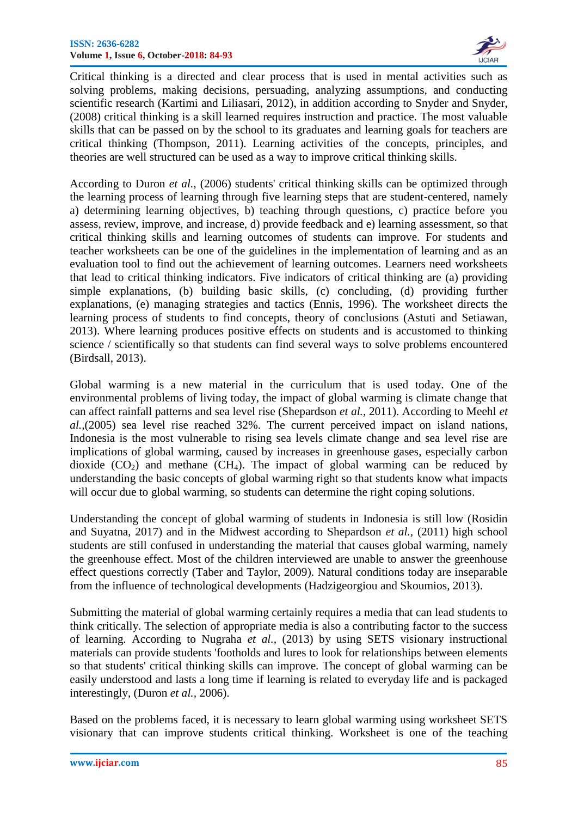

Critical thinking is a directed and clear process that is used in mental activities such as solving problems, making decisions, persuading, analyzing assumptions, and conducting scientific research (Kartimi and Liliasari, 2012), in addition according to Snyder and Snyder, (2008) critical thinking is a skill learned requires instruction and practice. The most valuable skills that can be passed on by the school to its graduates and learning goals for teachers are critical thinking (Thompson, 2011). Learning activities of the concepts, principles, and theories are well structured can be used as a way to improve critical thinking skills.

According to Duron *et al.,* (2006) students' critical thinking skills can be optimized through the learning process of learning through five learning steps that are student-centered, namely a) determining learning objectives, b) teaching through questions, c) practice before you assess, review, improve, and increase, d) provide feedback and e) learning assessment, so that critical thinking skills and learning outcomes of students can improve. For students and teacher worksheets can be one of the guidelines in the implementation of learning and as an evaluation tool to find out the achievement of learning outcomes. Learners need worksheets that lead to critical thinking indicators. Five indicators of critical thinking are (a) providing simple explanations, (b) building basic skills, (c) concluding, (d) providing further explanations, (e) managing strategies and tactics (Ennis, 1996). The worksheet directs the learning process of students to find concepts, theory of conclusions (Astuti and Setiawan, 2013). Where learning produces positive effects on students and is accustomed to thinking science / scientifically so that students can find several ways to solve problems encountered (Birdsall, 2013).

Global warming is a new material in the curriculum that is used today. One of the environmental problems of living today, the impact of global warming is climate change that can affect rainfall patterns and sea level rise (Shepardson *et al.,* 2011). According to Meehl *et al.,*(2005) sea level rise reached 32%. The current perceived impact on island nations, Indonesia is the most vulnerable to rising sea levels climate change and sea level rise are implications of global warming, caused by increases in greenhouse gases, especially carbon dioxide  $(CO_2)$  and methane  $(CH_4)$ . The impact of global warming can be reduced by understanding the basic concepts of global warming right so that students know what impacts will occur due to global warming, so students can determine the right coping solutions.

Understanding the concept of global warming of students in Indonesia is still low (Rosidin and Suyatna, 2017) and in the Midwest according to Shepardson *et al.,* (2011) high school students are still confused in understanding the material that causes global warming, namely the greenhouse effect. Most of the children interviewed are unable to answer the greenhouse effect questions correctly (Taber and Taylor, 2009). Natural conditions today are inseparable from the influence of technological developments (Hadzigeorgiou and Skoumios, 2013).

Submitting the material of global warming certainly requires a media that can lead students to think critically. The selection of appropriate media is also a contributing factor to the success of learning. According to Nugraha *et al.,* (2013) by using SETS visionary instructional materials can provide students 'footholds and lures to look for relationships between elements so that students' critical thinking skills can improve. The concept of global warming can be easily understood and lasts a long time if learning is related to everyday life and is packaged interestingly, (Duron *et al.,* 2006).

Based on the problems faced, it is necessary to learn global warming using worksheet SETS visionary that can improve students critical thinking. Worksheet is one of the teaching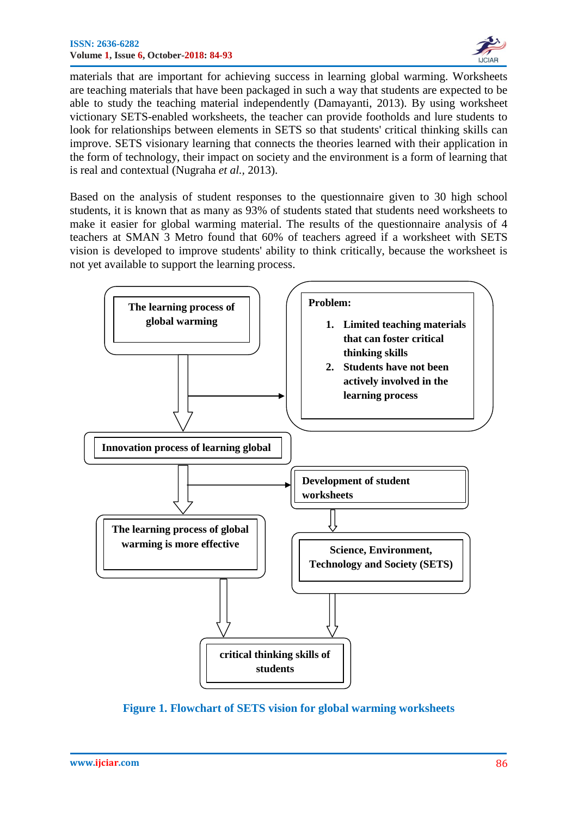

materials that are important for achieving success in learning global warming. Worksheets are teaching materials that have been packaged in such a way that students are expected to be able to study the teaching material independently (Damayanti, 2013). By using worksheet victionary SETS-enabled worksheets, the teacher can provide footholds and lure students to look for relationships between elements in SETS so that students' critical thinking skills can improve. SETS visionary learning that connects the theories learned with their application in the form of technology, their impact on society and the environment is a form of learning that is real and contextual (Nugraha *et al.,* 2013).

Based on the analysis of student responses to the questionnaire given to 30 high school students, it is known that as many as 93% of students stated that students need worksheets to make it easier for global warming material. The results of the questionnaire analysis of 4 teachers at SMAN 3 Metro found that 60% of teachers agreed if a worksheet with SETS vision is developed to improve students' ability to think critically, because the worksheet is not yet available to support the learning process.



**Figure 1. Flowchart of SETS vision for global warming worksheets**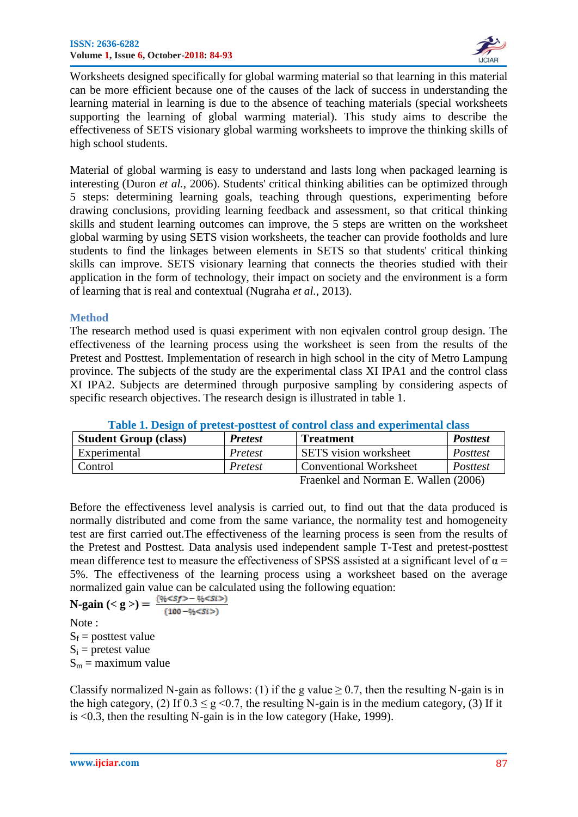

Worksheets designed specifically for global warming material so that learning in this material can be more efficient because one of the causes of the lack of success in understanding the learning material in learning is due to the absence of teaching materials (special worksheets supporting the learning of global warming material). This study aims to describe the effectiveness of SETS visionary global warming worksheets to improve the thinking skills of high school students.

Material of global warming is easy to understand and lasts long when packaged learning is interesting (Duron *et al.,* 2006). Students' critical thinking abilities can be optimized through 5 steps: determining learning goals, teaching through questions, experimenting before drawing conclusions, providing learning feedback and assessment, so that critical thinking skills and student learning outcomes can improve, the 5 steps are written on the worksheet global warming by using SETS vision worksheets, the teacher can provide footholds and lure students to find the linkages between elements in SETS so that students' critical thinking skills can improve. SETS visionary learning that connects the theories studied with their application in the form of technology, their impact on society and the environment is a form of learning that is real and contextual (Nugraha *et al.,* 2013).

#### **Method**

The research method used is quasi experiment with non eqivalen control group design. The effectiveness of the learning process using the worksheet is seen from the results of the Pretest and Posttest. Implementation of research in high school in the city of Metro Lampung province. The subjects of the study are the experimental class XI IPA1 and the control class XI IPA2. Subjects are determined through purposive sampling by considering aspects of specific research objectives. The research design is illustrated in table 1.

| <b>Table 1. Design of pretest-position of control class and experimental class</b> |                |                               |                 |  |  |
|------------------------------------------------------------------------------------|----------------|-------------------------------|-----------------|--|--|
| <b>Student Group (class)</b>                                                       | <b>Pretest</b> | <b>Treatment</b>              | <b>Posttest</b> |  |  |
| Experimental                                                                       | Pretest        | <b>SETS</b> vision worksheet  | Posttest        |  |  |
| Control                                                                            | Pretest        | <b>Conventional Worksheet</b> | Posttest        |  |  |
| $E_{\text{roonical and Normon}} E W_0 \sim (2006)$                                 |                |                               |                 |  |  |

|  |  |  | Table 1. Design of pretest-posttest of control class and experimental class |
|--|--|--|-----------------------------------------------------------------------------|
|--|--|--|-----------------------------------------------------------------------------|

Fraenkel and Norman E. Wallen (2006)

Before the effectiveness level analysis is carried out, to find out that the data produced is normally distributed and come from the same variance, the normality test and homogeneity test are first carried out.The effectiveness of the learning process is seen from the results of the Pretest and Posttest. Data analysis used independent sample T-Test and pretest-posttest mean difference test to measure the effectiveness of SPSS assisted at a significant level of  $\alpha$  = 5%. The effectiveness of the learning process using a worksheet based on the average normalized gain value can be calculated using the following equation:

**N-gain** (< g >) =  $\frac{(\frac{0}{6} < Sf > - \frac{0}{6} < Si >)}{2}$  $(100 - \frac{96}{55})$ Note :  $S_f$  = posttest value

 $S_i$  = pretest value

 $S_m$  = maximum value

Classify normalized N-gain as follows: (1) if the g value  $\geq$  0.7, then the resulting N-gain is in the high category, (2) If  $0.3 \le g \le 0.7$ , the resulting N-gain is in the medium category, (3) If it is <0.3, then the resulting N-gain is in the low category (Hake, 1999).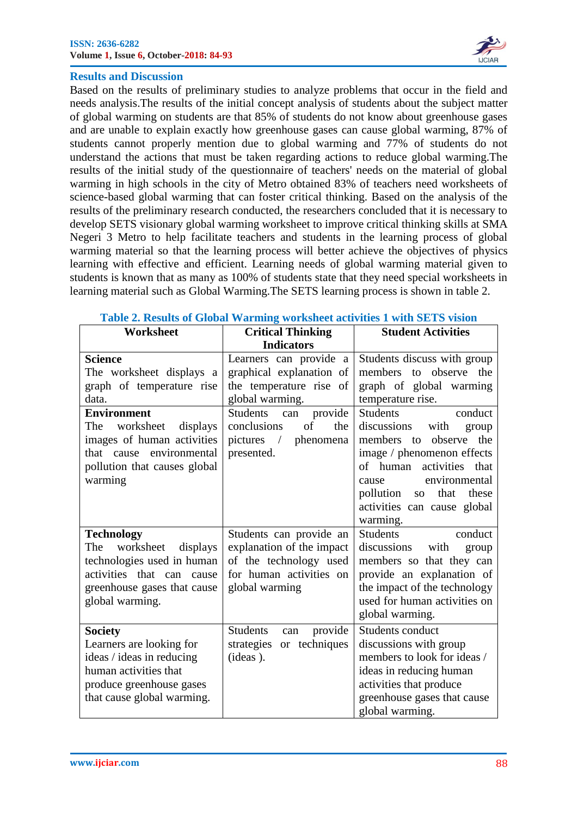

### **Results and Discussion**

Based on the results of preliminary studies to analyze problems that occur in the field and needs analysis.The results of the initial concept analysis of students about the subject matter of global warming on students are that 85% of students do not know about greenhouse gases and are unable to explain exactly how greenhouse gases can cause global warming, 87% of students cannot properly mention due to global warming and 77% of students do not understand the actions that must be taken regarding actions to reduce global warming.The results of the initial study of the questionnaire of teachers' needs on the material of global warming in high schools in the city of Metro obtained 83% of teachers need worksheets of science-based global warming that can foster critical thinking. Based on the analysis of the results of the preliminary research conducted, the researchers concluded that it is necessary to develop SETS visionary global warming worksheet to improve critical thinking skills at SMA Negeri 3 Metro to help facilitate teachers and students in the learning process of global warming material so that the learning process will better achieve the objectives of physics learning with effective and efficient. Learning needs of global warming material given to students is known that as many as 100% of students state that they need special worksheets in learning material such as Global Warming.The SETS learning process is shown in table 2.

| Worksheet                                  | <b>Critical Thinking</b>                           | <b>Student Activities</b>                             |  |
|--------------------------------------------|----------------------------------------------------|-------------------------------------------------------|--|
|                                            | <b>Indicators</b>                                  |                                                       |  |
| <b>Science</b><br>The worksheet displays a | Learners can provide a<br>graphical explanation of | Students discuss with group<br>members to observe the |  |
| graph of temperature rise                  | the temperature rise of                            | graph of global warming                               |  |
| data.                                      | global warming.                                    | temperature rise.                                     |  |
| <b>Environment</b>                         | <b>Students</b><br>provide<br>can                  | <b>Students</b><br>conduct                            |  |
| worksheet<br>The<br>displays               | of<br>conclusions<br>the                           | discussions<br>with<br>group                          |  |
| images of human activities                 | pictures /<br>phenomena                            | members to observe<br>the                             |  |
| environmental<br>that cause                | presented.                                         | image / phenomenon effects                            |  |
| pollution that causes global               |                                                    | of human activities<br>that                           |  |
| warming                                    |                                                    | environmental<br>cause                                |  |
|                                            |                                                    | that<br>pollution so<br>these                         |  |
|                                            |                                                    | activities can cause global                           |  |
|                                            |                                                    | warming.                                              |  |
| <b>Technology</b>                          | Students can provide an                            | <b>Students</b><br>conduct                            |  |
| worksheet<br>The<br>displays               | explanation of the impact                          | discussions<br>with<br>group                          |  |
| technologies used in human                 | of the technology used                             | members so that they can                              |  |
| activities that can cause                  | for human activities on                            | provide an explanation of                             |  |
| greenhouse gases that cause                | global warming                                     | the impact of the technology                          |  |
| global warming.                            |                                                    | used for human activities on                          |  |
|                                            |                                                    | global warming.                                       |  |
| <b>Society</b>                             | <b>Students</b><br>provide<br>can                  | Students conduct                                      |  |
| Learners are looking for                   | or techniques<br>strategies                        | discussions with group                                |  |
| ideas / ideas in reducing                  | (ideas).                                           | members to look for ideas /                           |  |
| human activities that                      |                                                    | ideas in reducing human                               |  |
| produce greenhouse gases                   |                                                    | activities that produce                               |  |
| that cause global warming.                 |                                                    | greenhouse gases that cause                           |  |
|                                            |                                                    | global warming.                                       |  |

#### **Table 2. Results of Global Warming worksheet activities 1 with SETS vision**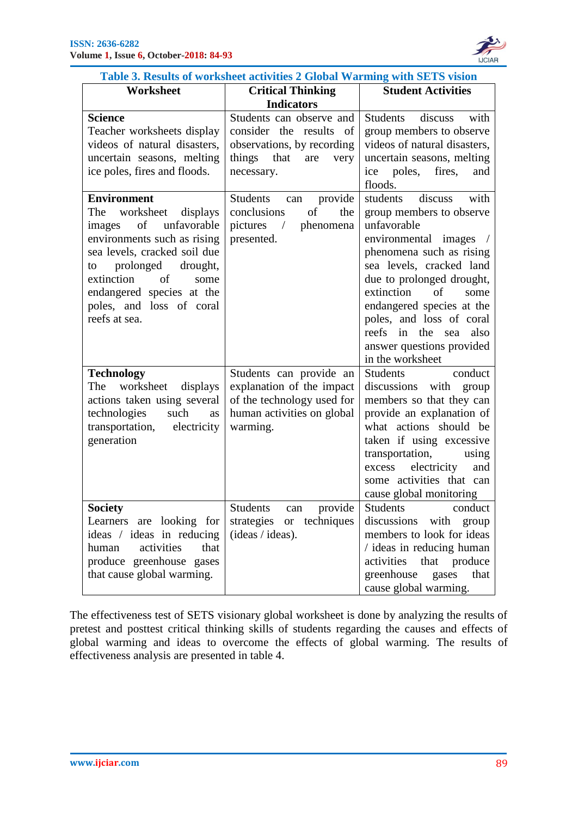

| Table 3. Results of worksheet activities 2 Global Warming with SETS vision                                                                                                                                                                                                         |                                                                                                                               |                                                                                                                                                                                                                                                                                                                                                      |  |  |  |
|------------------------------------------------------------------------------------------------------------------------------------------------------------------------------------------------------------------------------------------------------------------------------------|-------------------------------------------------------------------------------------------------------------------------------|------------------------------------------------------------------------------------------------------------------------------------------------------------------------------------------------------------------------------------------------------------------------------------------------------------------------------------------------------|--|--|--|
| Worksheet                                                                                                                                                                                                                                                                          | <b>Student Activities</b><br><b>Critical Thinking</b>                                                                         |                                                                                                                                                                                                                                                                                                                                                      |  |  |  |
|                                                                                                                                                                                                                                                                                    | <b>Indicators</b>                                                                                                             |                                                                                                                                                                                                                                                                                                                                                      |  |  |  |
| <b>Science</b><br>Teacher worksheets display<br>videos of natural disasters,<br>uncertain seasons, melting<br>ice poles, fires and floods.                                                                                                                                         | Students can observe and<br>consider the results of<br>observations, by recording<br>things that<br>are<br>very<br>necessary. | <b>Students</b><br>discuss<br>with<br>group members to observe<br>videos of natural disasters,<br>uncertain seasons, melting<br>ice poles, fires,<br>and<br>floods.                                                                                                                                                                                  |  |  |  |
| <b>Environment</b><br>The<br>worksheet<br>displays<br>unfavorable<br>of<br>images<br>environments such as rising<br>sea levels, cracked soil due<br>prolonged<br>drought,<br>to<br>extinction of<br>some<br>endangered species at the<br>poles, and loss of coral<br>reefs at sea. | <b>Students</b><br>provide<br>can<br>conclusions<br>of<br>the<br>pictures / phenomena<br>presented.                           | students<br>discuss<br>with<br>group members to observe<br>unfavorable<br>environmental images /<br>phenomena such as rising<br>sea levels, cracked land<br>due to prolonged drought,<br>extinction<br>of<br>some<br>endangered species at the<br>poles, and loss of coral<br>reefs in the sea also<br>answer questions provided<br>in the worksheet |  |  |  |
| <b>Technology</b><br>worksheet<br>The<br>displays<br>actions taken using several<br>technologies<br>such<br>as<br>transportation, electricity<br>generation                                                                                                                        | Students can provide an<br>explanation of the impact<br>of the technology used for<br>human activities on global<br>warming.  | Students<br>conduct<br>discussions<br>with group<br>members so that they can<br>provide an explanation of<br>what actions should be<br>taken if using excessive<br>transportation,<br>using<br>electricity<br>excess<br>and<br>some activities that can<br>cause global monitoring                                                                   |  |  |  |
| <b>Society</b><br>Learners are looking for<br>ideas / ideas in reducing<br>activities<br>that<br>human<br>produce greenhouse gases<br>that cause global warming.                                                                                                                   | provide<br>Students can<br>strategies or techniques<br>(ideas / ideas).                                                       | Students conduct<br>discussions with group<br>members to look for ideas<br>/ ideas in reducing human<br>activities<br>that produce<br>greenhouse<br>gases<br>that<br>cause global warming.                                                                                                                                                           |  |  |  |

The effectiveness test of SETS visionary global worksheet is done by analyzing the results of pretest and posttest critical thinking skills of students regarding the causes and effects of global warming and ideas to overcome the effects of global warming. The results of effectiveness analysis are presented in table 4.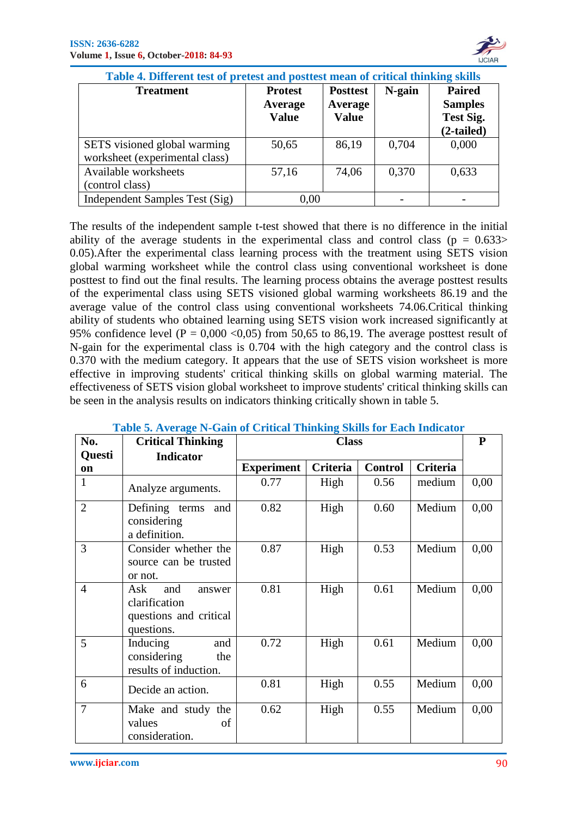

| <u>I ADIC 7. DHICKIN KSI OI PREKSI ANU POSHESI MKAN OI CHIREAI MMMMIZ SIMB</u> |                                           |                                            |        |                                                                   |  |  |
|--------------------------------------------------------------------------------|-------------------------------------------|--------------------------------------------|--------|-------------------------------------------------------------------|--|--|
| <b>Treatment</b>                                                               | <b>Protest</b><br>Average<br><b>Value</b> | <b>Posttest</b><br>Average<br><b>Value</b> | N-gain | <b>Paired</b><br><b>Samples</b><br><b>Test Sig.</b><br>(2-tailed) |  |  |
| SETS visioned global warming<br>worksheet (experimental class)                 | 50,65                                     | 86,19                                      | 0,704  | 0,000                                                             |  |  |
| Available worksheets<br>(control class)                                        | 57,16                                     | 74,06                                      | 0,370  | 0,633                                                             |  |  |
| Independent Samples Test (Sig)                                                 | 0,00                                      |                                            |        |                                                                   |  |  |

 **Table 4. Different test of pretest and posttest mean of critical thinking skills**

The results of the independent sample t-test showed that there is no difference in the initial ability of the average students in the experimental class and control class ( $p = 0.633$ ) 0.05).After the experimental class learning process with the treatment using SETS vision global warming worksheet while the control class using conventional worksheet is done posttest to find out the final results. The learning process obtains the average posttest results of the experimental class using SETS visioned global warming worksheets 86.19 and the average value of the control class using conventional worksheets 74.06.Critical thinking ability of students who obtained learning using SETS vision work increased significantly at 95% confidence level ( $P = 0,000 \le 0,05$ ) from 50,65 to 86,19. The average posttest result of N-gain for the experimental class is 0.704 with the high category and the control class is 0.370 with the medium category. It appears that the use of SETS vision worksheet is more effective in improving students' critical thinking skills on global warming material. The effectiveness of SETS vision global worksheet to improve students' critical thinking skills can be seen in the analysis results on indicators thinking critically shown in table 5.

| No.                 | <b>Critical Thinking</b>                                                      | <b>Class</b>      |          |                |                 | ${\bf P}$ |
|---------------------|-------------------------------------------------------------------------------|-------------------|----------|----------------|-----------------|-----------|
| Questi<br><b>on</b> | <b>Indicator</b>                                                              | <b>Experiment</b> | Criteria | <b>Control</b> | <b>Criteria</b> |           |
| $\mathbf{1}$        | Analyze arguments.                                                            | 0.77              | High     | 0.56           | medium          | 0,00      |
| $\overline{2}$      | Defining terms and<br>considering<br>a definition.                            | 0.82              | High     | 0.60           | Medium          | 0,00      |
| 3                   | Consider whether the<br>source can be trusted<br>or not.                      | 0.87              | High     | 0.53           | Medium          | 0,00      |
| $\overline{4}$      | Ask<br>and<br>answer<br>clarification<br>questions and critical<br>questions. | 0.81              | High     | 0.61           | Medium          | 0,00      |
| 5                   | Inducing<br>and<br>considering<br>the<br>results of induction.                | 0.72              | High     | 0.61           | Medium          | 0,00      |
| 6                   | Decide an action.                                                             | 0.81              | High     | 0.55           | Medium          | 0,00      |
| 7                   | Make and study the<br>values<br>of<br>consideration.                          | 0.62              | High     | 0.55           | Medium          | 0,00      |

# **Table 5. Average N-Gain of Critical Thinking Skills for Each Indicator**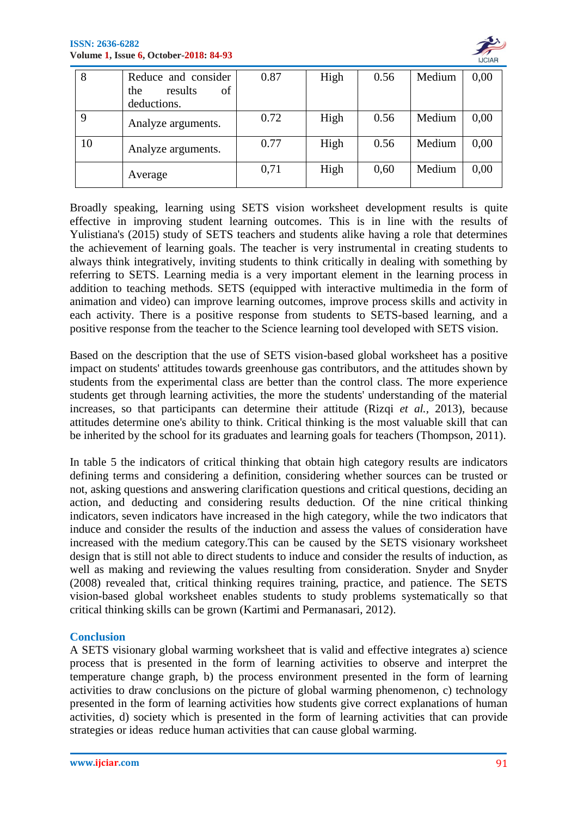

|    | Reduce and consider  | 0.87 | High | 0.56 | Medium | 0,00 |
|----|----------------------|------|------|------|--------|------|
|    | of<br>results<br>the |      |      |      |        |      |
|    | deductions.          |      |      |      |        |      |
|    | Analyze arguments.   | 0.72 | High | 0.56 | Medium | 0,00 |
| 10 | Analyze arguments.   | 0.77 | High | 0.56 | Medium | 0,00 |
|    | Average              | 0,71 | High | 0,60 | Medium | 0,00 |

Broadly speaking, learning using SETS vision worksheet development results is quite effective in improving student learning outcomes. This is in line with the results of Yulistiana's (2015) study of SETS teachers and students alike having a role that determines the achievement of learning goals. The teacher is very instrumental in creating students to always think integratively, inviting students to think critically in dealing with something by referring to SETS. Learning media is a very important element in the learning process in addition to teaching methods. SETS (equipped with interactive multimedia in the form of animation and video) can improve learning outcomes, improve process skills and activity in each activity. There is a positive response from students to SETS-based learning, and a positive response from the teacher to the Science learning tool developed with SETS vision.

Based on the description that the use of SETS vision-based global worksheet has a positive impact on students' attitudes towards greenhouse gas contributors, and the attitudes shown by students from the experimental class are better than the control class. The more experience students get through learning activities, the more the students' understanding of the material increases, so that participants can determine their attitude (Rizqi *et al.,* 2013), because attitudes determine one's ability to think. Critical thinking is the most valuable skill that can be inherited by the school for its graduates and learning goals for teachers (Thompson, 2011).

In table 5 the indicators of critical thinking that obtain high category results are indicators defining terms and considering a definition, considering whether sources can be trusted or not, asking questions and answering clarification questions and critical questions, deciding an action, and deducting and considering results deduction. Of the nine critical thinking indicators, seven indicators have increased in the high category, while the two indicators that induce and consider the results of the induction and assess the values of consideration have increased with the medium category.This can be caused by the SETS visionary worksheet design that is still not able to direct students to induce and consider the results of induction, as well as making and reviewing the values resulting from consideration. Snyder and Snyder (2008) revealed that, critical thinking requires training, practice, and patience. The SETS vision-based global worksheet enables students to study problems systematically so that critical thinking skills can be grown (Kartimi and Permanasari, 2012).

# **Conclusion**

A SETS visionary global warming worksheet that is valid and effective integrates a) science process that is presented in the form of learning activities to observe and interpret the temperature change graph, b) the process environment presented in the form of learning activities to draw conclusions on the picture of global warming phenomenon, c) technology presented in the form of learning activities how students give correct explanations of human activities, d) society which is presented in the form of learning activities that can provide strategies or ideas reduce human activities that can cause global warming.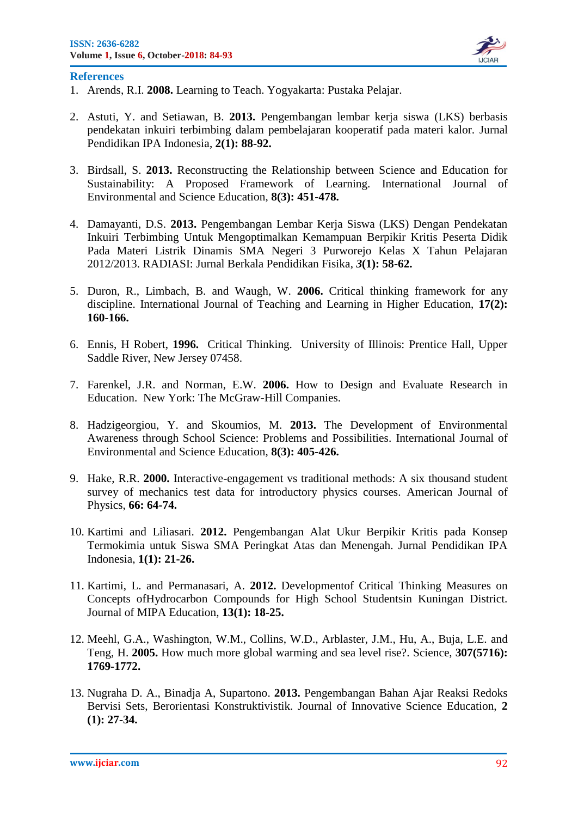

#### **References**

- 1. Arends, R.I. **2008.** Learning to Teach. Yogyakarta: Pustaka Pelajar.
- 2. Astuti, Y. and Setiawan, B. **2013.** Pengembangan lembar kerja siswa (LKS) berbasis pendekatan inkuiri terbimbing dalam pembelajaran kooperatif pada materi kalor. Jurnal Pendidikan IPA Indonesia, **2(1): 88-92.**
- 3. Birdsall, S. **2013.** Reconstructing the Relationship between Science and Education for Sustainability: A Proposed Framework of Learning. International Journal of Environmental and Science Education, **8(3): 451-478.**
- 4. Damayanti, D.S. **2013.** Pengembangan Lembar Kerja Siswa (LKS) Dengan Pendekatan Inkuiri Terbimbing Untuk Mengoptimalkan Kemampuan Berpikir Kritis Peserta Didik Pada Materi Listrik Dinamis SMA Negeri 3 Purworejo Kelas X Tahun Pelajaran 2012/2013. RADIASI: Jurnal Berkala Pendidikan Fisika, *3***(1): 58-62.**
- 5. Duron, R., Limbach, B. and Waugh, W. **2006.** Critical thinking framework for any discipline. International Journal of Teaching and Learning in Higher Education, **17(2): 160-166.**
- 6. Ennis, H Robert, **1996.** Critical Thinking. University of Illinois: Prentice Hall, Upper Saddle River, New Jersey 07458.
- 7. Farenkel, J.R. and Norman, E.W. **2006.** How to Design and Evaluate Research in Education. New York: The McGraw-Hill Companies.
- 8. Hadzigeorgiou, Y. and Skoumios, M. **2013.** The Development of Environmental Awareness through School Science: Problems and Possibilities. International Journal of Environmental and Science Education, **8(3): 405-426.**
- 9. Hake, R.R. **2000.** Interactive-engagement vs traditional methods: A six thousand student survey of mechanics test data for introductory physics courses. American Journal of Physics, **66: 64-74.**
- 10. Kartimi and Liliasari. **2012.** Pengembangan Alat Ukur Berpikir Kritis pada Konsep Termokimia untuk Siswa SMA Peringkat Atas dan Menengah. Jurnal Pendidikan IPA Indonesia, **1(1): 21-26.**
- 11. Kartimi, L. and Permanasari, A. **2012.** Developmentof Critical Thinking Measures on Concepts ofHydrocarbon Compounds for High School Studentsin Kuningan District. Journal of MIPA Education, **13(1): 18-25.**
- 12. Meehl, G.A., Washington, W.M., Collins, W.D., Arblaster, J.M., Hu, A., Buja, L.E. and Teng, H. **2005.** How much more global warming and sea level rise?. Science, **307(5716): 1769-1772.**
- 13. Nugraha D. A., Binadja A, Supartono. **2013.** Pengembangan Bahan Ajar Reaksi Redoks Bervisi Sets, Berorientasi Konstruktivistik. Journal of Innovative Science Education, **2 (1): 27-34.**